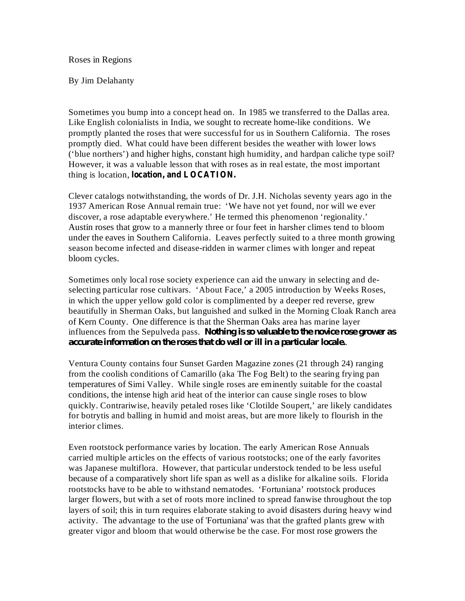Roses in Regions

By Jim Delahanty

Sometimes you bump into a concept head on. In 1985 we transferred to the Dallas area. Like English colonialists in India, we sought to recreate home-like conditions. We promptly planted the roses that were successful for us in Southern California. The roses promptly died. What could have been different besides the weather with lower lows ('blue northers') and higher highs, constant high humidity, and hardpan caliche type soil? However, it was a valuable lesson that with roses as in real estate, the most important thing is location, **location, and LOCATION.**

Clever catalogs notwithstanding, the words of Dr. J.H. Nicholas seventy years ago in the 1937 American Rose Annual remain true: 'We have not yet found, nor will we ever discover, a rose adaptable everywhere.' He termed this phenomenon 'regionality.' Austin roses that grow to a mannerly three or four feet in harsher climes tend to bloom under the eaves in Southern California. Leaves perfectly suited to a three month growing season become infected and disease-ridden in warmer climes with longer and repeat bloom cycles.

Sometimes only local rose society experience can aid the unwary in selecting and deselecting particular rose cultivars. 'About Face,' a 2005 introduction by Weeks Roses, in which the upper yellow gold color is complimented by a deeper red reverse, grew beautifully in Sherman Oaks, but languished and sulked in the Morning Cloak Ranch area of Kern County. One difference is that the Sherman Oaks area has marine layer influences from the Sepulveda pass. *Nothing is so valuable to the novice rose grower as* . *accurate information on the roses that do well or ill in a particular locale.*

Ventura County contains four Sunset Garden Magazine zones (21 through 24) ranging from the coolish conditions of Camarillo (aka The Fog Belt) to the searing frying pan temperatures of Simi Valley. While single roses are eminently suitable for the coastal conditions, the intense high arid heat of the interior can cause single roses to blow quickly. Contrariwise, heavily petaled roses like 'Clotilde Soupert,' are likely candidates for botrytis and balling in humid and moist areas, but are more likely to flourish in the interior climes.

Even rootstock performance varies by location. The early American Rose Annuals carried multiple articles on the effects of various rootstocks; one of the early favorites was Japanese multiflora. However, that particular understock tended to be less useful because of a comparatively short life span as well as a dislike for alkaline soils. Florida rootstocks have to be able to withstand nematodes. 'Fortuniana' rootstock produces larger flowers, but with a set of roots more inclined to spread fanwise throughout the top layers of soil; this in turn requires elaborate staking to avoid disasters during heavy wind activity. The advantage to the use of 'Fortuniana' was that the grafted plants grew with greater vigor and bloom that would otherwise be the case. For most rose growers the